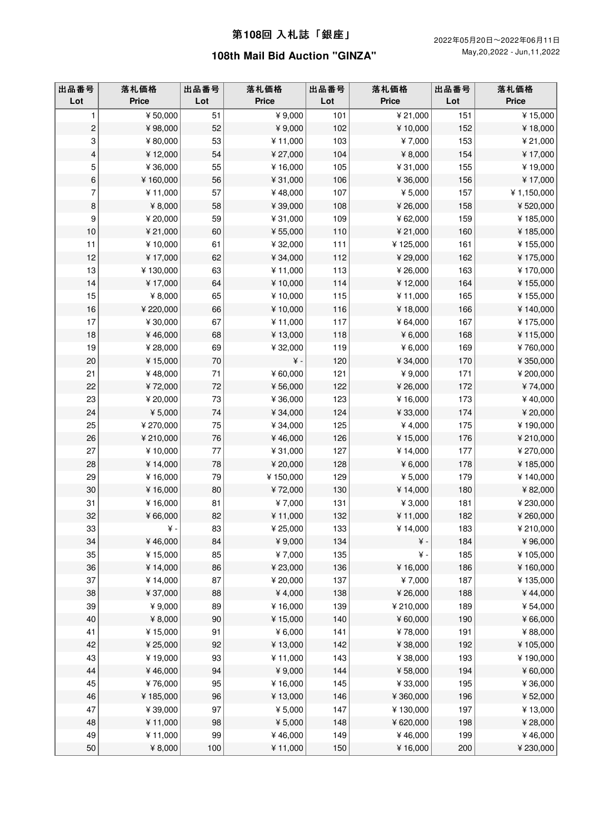| 出品番号<br>Lot             | 落札価格<br><b>Price</b> | 出品番号<br>Lot | 落札価格<br><b>Price</b> | 出品番号<br>Lot | 落札価格<br><b>Price</b> | 出品番号<br>Lot | 落札価格<br><b>Price</b> |
|-------------------------|----------------------|-------------|----------------------|-------------|----------------------|-------------|----------------------|
| 1                       | ¥50,000              | 51          | ¥9,000               | 101         | ¥ 21,000             | 151         | ¥15,000              |
| $\overline{\mathbf{c}}$ | ¥98,000              | 52          | ¥9,000               | 102         | ¥10,000              | 152         | ¥18,000              |
| 3                       | ¥80,000              | 53          | ¥11,000              | 103         | ¥7,000               | 153         | ¥ 21,000             |
| 4                       | ¥12,000              | 54          | ¥ 27,000             | 104         | ¥ 8,000              | 154         | ¥17,000              |
| 5                       | ¥36,000              | 55          | ¥16,000              | 105         | ¥31,000              | 155         | ¥19,000              |
| $\,6\,$                 | ¥160,000             | 56          | ¥31,000              | 106         | ¥36,000              | 156         | ¥17,000              |
| 7                       | ¥11,000              | 57          | ¥48,000              | 107         | ¥ 5,000              | 157         | ¥1,150,000           |
| $\, 8$                  | ¥ 8,000              | 58          | ¥39,000              | 108         | ¥26,000              | 158         | ¥520,000             |
| 9                       | ¥ 20,000             | 59          | ¥31,000              | 109         | ¥62,000              | 159         | ¥185,000             |
| 10                      | ¥ 21,000             | 60          | ¥ 55,000             | 110         | ¥ 21,000             | 160         | ¥185,000             |
| 11                      | ¥10,000              | 61          | ¥32,000              | 111         | ¥125,000             | 161         | ¥155,000             |
| 12                      | ¥17,000              | 62          | ¥34,000              | 112         | ¥29,000              | 162         | ¥175,000             |
| 13                      | ¥130,000             | 63          | ¥11,000              | 113         | ¥26,000              | 163         | ¥170,000             |
| 14                      | ¥17,000              | 64          | ¥10,000              | 114         | ¥12,000              | 164         | ¥155,000             |
| 15                      | ¥ 8,000              | 65          | ¥10,000              | 115         | ¥11,000              | 165         | ¥155,000             |
| $16$                    | ¥ 220,000            | 66          | ¥10,000              | 116         | ¥18,000              | 166         | ¥140,000             |
| 17                      | ¥ 30,000             | 67          | ¥11,000              | 117         | ¥64,000              | 167         | ¥175,000             |
| 18                      | ¥46,000              | 68          | ¥13,000              | 118         | ¥ 6,000              | 168         | ¥115,000             |
| 19                      | ¥28,000              | 69          | ¥32,000              | 119         | ¥6,000               | 169         | ¥760,000             |
| 20                      | ¥15,000              | $70\,$      | $\angle$ +           | 120         | ¥ 34,000             | 170         | ¥350,000             |
| 21                      | ¥48,000              | 71          | ¥ 60,000             | 121         | ¥9,000               | 171         | ¥ 200,000            |
| 22                      | ¥72,000              | 72          | ¥56,000              | 122         | ¥26,000              | 172         | ¥74,000              |
| 23                      | ¥ 20,000             | 73          | ¥36,000              | 123         | ¥16,000              | 173         | ¥40,000              |
| 24                      | ¥ 5,000              | 74          | ¥34,000              | 124         | ¥33,000              | 174         | ¥ 20,000             |
| 25                      | ¥ 270,000            | 75          | ¥ 34,000             | 125         | ¥4,000               | 175         | ¥190,000             |
| $26\,$                  | ¥210,000             | 76          | ¥46,000              | 126         | ¥15,000              | 176         | ¥210,000             |
| 27                      | ¥10,000              | 77          | ¥31,000              | 127         | ¥14,000              | 177         | ¥270,000             |
| 28                      | ¥14,000              | 78          | ¥ 20,000             | 128         | ¥ 6,000              | 178         | ¥185,000             |
| 29                      | ¥16,000              | 79          | ¥150,000             | 129         | ¥ 5,000              | 179         | ¥140,000             |
| 30                      | ¥16,000              | 80          | ¥72,000              | 130         | ¥14,000              | 180         | ¥82,000              |
| 31                      | ¥16,000              | 81          | ¥7,000               | 131         | ¥ 3,000              | 181         | ¥ 230,000            |
| 32                      | ¥66,000              | 82          | ¥11,000              | 132         | ¥11,000              | 182         | ¥260,000             |
| 33                      | ¥ -                  | 83          | ¥25,000              | 133         | ¥14,000              | 183         | ¥210,000             |
| 34                      | ¥46,000              | 84          | ¥9,000               | 134         | $\angle$ +           | 184         | ¥96,000              |
| 35                      | ¥15,000              | 85          | ¥7,000               | 135         | $\yen$ -             | 185         | ¥105,000             |
| 36                      | ¥14,000              | 86          | ¥ 23,000             | 136         | ¥16,000              | 186         | ¥160,000             |
| 37                      | ¥14,000              | 87          | ¥ 20,000             | 137         | ¥7,000               | 187         | ¥135,000             |
| 38                      | ¥37,000              | 88          | ¥4,000               | 138         | ¥26,000              | 188         | ¥44,000              |
| 39                      | ¥9,000               | 89          | ¥16,000              | 139         | ¥210,000             | 189         | ¥ 54,000             |
| 40                      | ¥ $8,000$            | 90          | ¥15,000              | 140         | ¥60,000              | 190         | ¥66,000              |
| 41                      | ¥15,000              | 91          | ¥6,000               | 141         | ¥78,000              | 191         | ¥88,000              |
| 42                      | ¥ 25,000             | 92          | ¥13,000              | 142         | ¥38,000              | 192         | ¥105,000             |
| 43                      | ¥19,000              | 93          | ¥11,000              | 143         | ¥38,000              | 193         | ¥190,000             |
| 44                      | ¥46,000              | 94          | ¥9,000               | 144         | ¥58,000              | 194         | ¥60,000              |
| 45                      | ¥76,000              | 95          | ¥16,000              | 145         | ¥33,000              | 195         | ¥36,000              |
| 46                      | ¥185,000             | 96          | ¥13,000              | 146         | ¥360,000             | 196         | ¥52,000              |
| 47                      | ¥39,000              | 97          | ¥ 5,000              | 147         | ¥130,000             | 197         | ¥13,000              |
| 48                      | ¥11,000              | 98          | ¥ 5,000              | 148         | ¥620,000             | 198         | ¥28,000              |
| 49                      | ¥11,000              | 99          | ¥46,000              | 149         | ¥46,000              | 199         | ¥46,000              |
| $50\,$                  | ¥ 8,000              | 100         | ¥11,000              | 150         | ¥16,000              | 200         | ¥ 230,000            |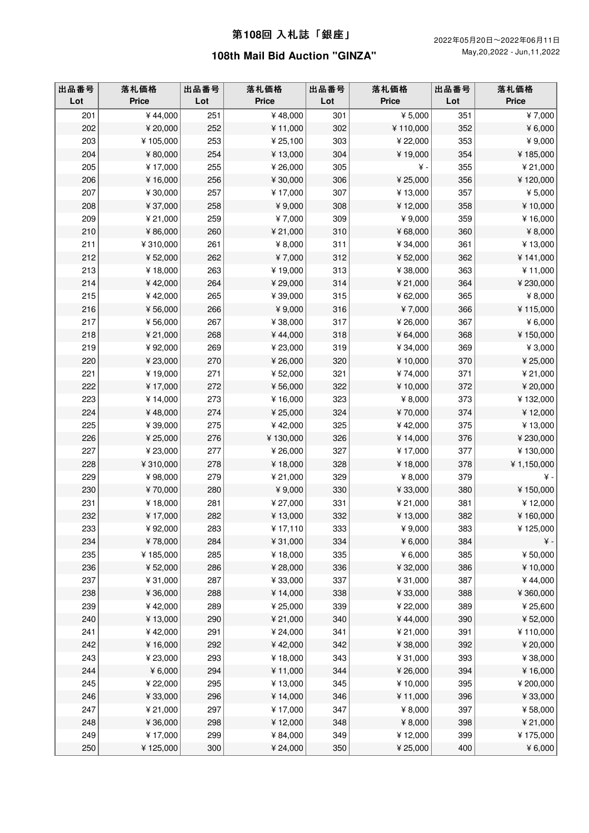| 出品番号<br>Lot | 落札価格<br><b>Price</b> | 出品番号<br>Lot | 落札価格<br><b>Price</b> | 出品番号<br>Lot | 落札価格<br><b>Price</b> | 出品番号<br>Lot | 落札価格<br><b>Price</b> |
|-------------|----------------------|-------------|----------------------|-------------|----------------------|-------------|----------------------|
| 201         | ¥44,000              | 251         | ¥48,000              | 301         | ¥ 5,000              | 351         | ¥7,000               |
| 202         | ¥ 20,000             | 252         | ¥11,000              | 302         | ¥110,000             | 352         | ¥ $6,000$            |
| 203         | ¥105,000             | 253         | ¥ 25,100             | 303         | ¥ 22,000             | 353         | ¥9,000               |
| 204         | ¥80,000              | 254         | ¥13,000              | 304         | ¥19,000              | 354         | ¥185,000             |
| 205         | ¥17,000              | 255         | ¥26,000              | 305         | ¥-                   | 355         | ¥ 21,000             |
| 206         | ¥16,000              | 256         | ¥ 30,000             | 306         | ¥25,000              | 356         | ¥120,000             |
| 207         | ¥30,000              | 257         | ¥17,000              | 307         | ¥13,000              | 357         | ¥ 5,000              |
| 208         | ¥37,000              | 258         | ¥9,000               | 308         | ¥12,000              | 358         | ¥10,000              |
| 209         | ¥ 21,000             | 259         | ¥7,000               | 309         | ¥9,000               | 359         | ¥16,000              |
| 210         | ¥86,000              | 260         | ¥ 21,000             | 310         | ¥68,000              | 360         | ¥ 8,000              |
| 211         | ¥310,000             | 261         | ¥ 8,000              | 311         | ¥34,000              | 361         | ¥13,000              |
| 212         | ¥ 52,000             | 262         | ¥7,000               | 312         | ¥52,000              | 362         | ¥141,000             |
| 213         | ¥18,000              | 263         | ¥19,000              | 313         | ¥38,000              | 363         | ¥11,000              |
| 214         | ¥42,000              | 264         | ¥29,000              | 314         | ¥ 21,000             | 364         | ¥ 230,000            |
| 215         | ¥42,000              | 265         | ¥39,000              | 315         | ¥62,000              | 365         | ¥ 8,000              |
| 216         | ¥56,000              | 266         | ¥9,000               | 316         | ¥7,000               | 366         | ¥115,000             |
| 217         | ¥56,000              | 267         | ¥38,000              | 317         | ¥26,000              | 367         | ¥ $6,000$            |
| 218         | ¥ 21,000             | 268         | ¥44,000              | 318         | ¥64,000              | 368         | ¥150,000             |
| 219         | ¥92,000              | 269         | ¥23,000              | 319         | ¥34,000              | 369         | ¥ 3,000              |
| 220         | ¥ 23,000             | 270         | ¥26,000              | 320         | ¥10,000              | 370         | ¥ 25,000             |
| 221         | ¥19,000              | 271         | ¥52,000              | 321         | ¥74,000              | 371         | ¥21,000              |
| 222         | ¥17,000              | 272         | ¥56,000              | 322         | ¥10,000              | 372         | ¥ 20,000             |
| 223         | ¥14,000              | 273         | ¥16,000              | 323         | ¥ 8,000              | 373         | ¥132,000             |
| 224         | ¥48,000              | 274         | ¥ 25,000             | 324         | ¥70,000              | 374         | ¥12,000              |
| 225         | ¥39,000              | 275         | ¥42,000              | 325         | ¥42,000              | 375         | ¥13,000              |
| 226         | ¥ 25,000             | 276         | ¥130,000             | 326         | ¥14,000              | 376         | ¥ 230,000            |
| 227         | ¥ 23,000             | 277         | ¥26,000              | 327         | ¥17,000              | 377         | ¥130,000             |
| 228         | ¥310,000             | 278         | ¥18,000              | 328         | ¥18,000              | 378         | ¥1,150,000           |
| 229         | ¥98,000              | 279         | ¥ 21,000             | 329         | ¥ 8,000              | 379         | ¥-                   |
| 230         | ¥70,000              | 280         | ¥9,000               | 330         | ¥33,000              | 380         | ¥150,000             |
| 231         | ¥18,000              | 281         | ¥ 27,000             | 331         | ¥ 21,000             | 381         | ¥12,000              |
| 232         | ¥17,000              | 282         | ¥13,000              | 332         | ¥13,000              | 382         | ¥160,000             |
| 233         | ¥92,000              | 283         | ¥17,110              | 333         | ¥ 9,000              | 383         | ¥125,000             |
| 234         | ¥78,000              | 284         | ¥31,000              | 334         | ¥ 6,000              | 384         | ¥ -                  |
| 235         | ¥185,000             | 285         | ¥18,000              | 335         | ¥6,000               | 385         | ¥50,000              |
| 236         | ¥52,000              | 286         | ¥28,000              | 336         | ¥32,000              | 386         | ¥10,000              |
| 237         | ¥31,000              | 287         | ¥33,000              | 337         | ¥31,000              | 387         | ¥44,000              |
| 238         | ¥36,000              | 288         | ¥14,000              | 338         | ¥33,000              | 388         | ¥360,000             |
| 239         | ¥42,000              | 289         | ¥ 25,000             | 339         | ¥22,000              | 389         | ¥ 25,600             |
| 240         | ¥13,000              | 290         | ¥ 21,000             | 340         | ¥44,000              | 390         | ¥52,000              |
| 241         | ¥42,000              | 291         | ¥ 24,000             | 341         | ¥ 21,000             | 391         | ¥110,000             |
| 242         | ¥16,000              | 292         | ¥42,000              | 342         | ¥38,000              | 392         | ¥ 20,000             |
| 243         | ¥ 23,000             | 293         | ¥18,000              | 343         | ¥31,000              | 393         | ¥38,000              |
| 244         | ¥6,000               | 294         | ¥11,000              | 344         | ¥26,000              | 394         | ¥16,000              |
| 245         | ¥ 22,000             | 295         | ¥13,000              | 345         | ¥10,000              | 395         | ¥ 200,000            |
| 246         | ¥33,000              | 296         | ¥14,000              | 346         | ¥11,000              | 396         | ¥33,000              |
| 247         | ¥ 21,000             | 297         | ¥17,000              | 347         | ¥8,000               | 397         | ¥58,000              |
| 248         | ¥36,000              | 298         | ¥12,000              | 348         | ¥ 8,000              | 398         | ¥ 21,000             |
| 249         | ¥17,000              | 299         | ¥84,000              | 349         | ¥12,000              | 399         | ¥175,000             |
| 250         | ¥125,000             | 300         | ¥ 24,000             | 350         | ¥25,000              | 400         | ¥6,000               |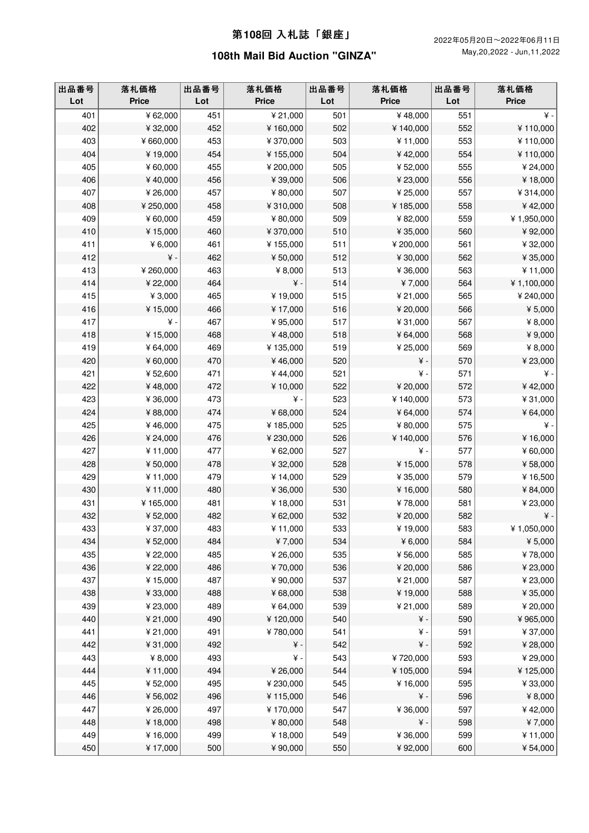| 出品番号<br>Lot | 落札価格<br><b>Price</b> | 出品番号<br>Lot | 落札価格<br><b>Price</b> | 出品番号<br>Lot | 落札価格<br><b>Price</b> | 出品番号<br>Lot | 落札価格<br><b>Price</b> |
|-------------|----------------------|-------------|----------------------|-------------|----------------------|-------------|----------------------|
| 401         | ¥62,000              | 451         | ¥ 21,000             | 501         | ¥48,000              | 551         | $\angle$ +           |
| 402         | ¥32,000              | 452         | ¥160,000             | 502         | ¥140,000             | 552         | ¥110,000             |
| 403         | ¥660,000             | 453         | ¥370,000             | 503         | ¥11,000              | 553         | ¥110,000             |
| 404         | ¥19,000              | 454         | ¥155,000             | 504         | ¥42,000              | 554         | ¥110,000             |
| 405         | ¥60,000              | 455         | ¥ 200,000            | 505         | ¥52,000              | 555         | ¥ 24,000             |
| 406         | ¥40,000              | 456         | ¥39,000              | 506         | ¥23,000              | 556         | ¥18,000              |
| 407         | ¥26,000              | 457         | ¥80,000              | 507         | ¥25,000              | 557         | ¥314,000             |
| 408         | ¥250,000             | 458         | ¥310,000             | 508         | ¥185,000             | 558         | ¥42,000              |
| 409         | ¥60,000              | 459         | ¥80,000              | 509         | ¥82,000              | 559         | ¥1,950,000           |
| 410         | ¥15,000              | 460         | ¥370,000             | 510         | ¥ 35,000             | 560         | ¥92,000              |
| 411         | ¥ 6,000              | 461         | ¥155,000             | 511         | ¥ 200,000            | 561         | ¥32,000              |
| 412         | $\angle$ +           | 462         | ¥50,000              | 512         | ¥ 30,000             | 562         | ¥35,000              |
| 413         | ¥260,000             | 463         | ¥ 8,000              | 513         | ¥36,000              | 563         | ¥11,000              |
| 414         | ¥ 22,000             | 464         | $\yen$ -             | 514         | ¥7,000               | 564         | ¥1,100,000           |
| 415         | ¥3,000               | 465         | ¥19,000              | 515         | ¥ 21,000             | 565         | ¥ 240,000            |
| 416         | ¥15,000              | 466         | ¥17,000              | 516         | ¥ 20,000             | 566         | ¥ 5,000              |
| 417         | $\angle$ +           | 467         | ¥95,000              | 517         | ¥31,000              | 567         | ¥ 8,000              |
| 418         | ¥15,000              | 468         | ¥48,000              | 518         | ¥64,000              | 568         | ¥9,000               |
| 419         | ¥64,000              | 469         | ¥135,000             | 519         | ¥ 25,000             | 569         | ¥ 8,000              |
| 420         | ¥60,000              | 470         | ¥46,000              | 520         | ¥ -                  | 570         | ¥23,000              |
| 421         | ¥52,600              | 471         | ¥44,000              | 521         | ¥ -                  | 571         | ¥-                   |
| 422         | ¥48,000              | 472         | ¥10,000              | 522         | ¥ 20,000             | 572         | ¥42,000              |
| 423         | ¥36,000              | 473         | ¥ -                  | 523         | ¥140,000             | 573         | ¥31,000              |
| 424         | ¥88,000              | 474         | ¥68,000              | 524         | ¥64,000              | 574         | ¥64,000              |
| 425         | ¥46,000              | 475         | ¥185,000             | 525         | ¥80,000              | 575         | $\angle$ +           |
| 426         | ¥ 24,000             | 476         | ¥ 230,000            | 526         | ¥140,000             | 576         | ¥16,000              |
| 427         | ¥11,000              | 477         | ¥62,000              | 527         | ¥ -                  | 577         | ¥60,000              |
| 428         | ¥50,000              | 478         | ¥32,000              | 528         | ¥15,000              | 578         | ¥58,000              |
| 429         | ¥11,000              | 479         | ¥14,000              | 529         | ¥ 35,000             | 579         | ¥16,500              |
| 430         | ¥11,000              | 480         | ¥36,000              | 530         | ¥16,000              | 580         | ¥84,000              |
| 431         | ¥165,000             | 481         | ¥18,000              | 531         | ¥78,000              | 581         | ¥ 23,000             |
| 432         | ¥52,000              | 482         | ¥62,000              | 532         | ¥20,000              | 582         | $\yen$ -             |
| 433         | $*37,000$            | 483         | ¥11,000              | 533         | ¥19,000              | 583         | $* 1,050,000$        |
| 434         | ¥52,000              | 484         | ¥7,000               | 534         | ¥6,000               | 584         | ¥ 5,000              |
| 435         | ¥ 22,000             | 485         | ¥26,000              | 535         | ¥56,000              | 585         | ¥78,000              |
| 436         | ¥ 22,000             | 486         | ¥70,000              | 536         | ¥ 20,000             | 586         | ¥23,000              |
| 437         | ¥15,000              | 487         | ¥90,000              | 537         | ¥ 21,000             | 587         | ¥23,000              |
| 438         | ¥33,000              | 488         | ¥68,000              | 538         | ¥19,000              | 588         | ¥35,000              |
| 439         | ¥23,000              | 489         | ¥64,000              | 539         | ¥ 21,000             | 589         | ¥ 20,000             |
| 440         | ¥ 21,000             | 490         | ¥120,000             | 540         | $\yen$ -             | 590         | ¥965,000             |
| 441         | ¥ 21,000             | 491         | ¥780,000             | 541         | $\yen$ -             | 591         | ¥37,000              |
| 442         | ¥31,000              | 492         | $\yen$ -             | 542         | $\yen$ -             | 592         | ¥28,000              |
| 443         | ¥ 8,000              | 493         | ¥-                   | 543         | ¥720,000             | 593         | ¥ 29,000             |
| 444         | ¥11,000              | 494         | ¥26,000              | 544         | ¥105,000             | 594         | ¥125,000             |
| 445         | ¥52,000              | 495         | ¥ 230,000            | 545         | ¥16,000              | 595         | ¥33,000              |
| 446         | ¥56,002              | 496         | ¥115,000             | 546         | ¥ -                  | 596         | ¥ 8,000              |
| 447         | ¥26,000              | 497         | ¥170,000             | 547         | ¥36,000              | 597         | ¥42,000              |
| 448         | ¥18,000              | 498         | ¥80,000              | 548         | ¥ -                  | 598         | ¥7,000               |
| 449         | ¥16,000              | 499         | ¥18,000              | 549         | ¥36,000              | 599         | ¥11,000              |
| 450         | ¥17,000              | 500         | ¥90,000              | 550         | ¥92,000              | 600         | ¥ 54,000             |